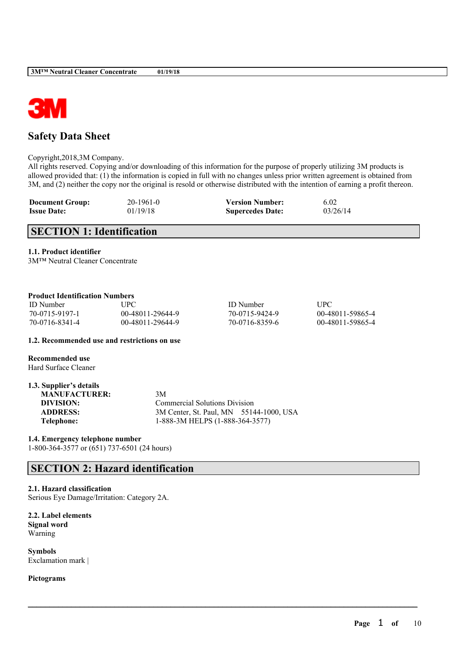

## **Safety Data Sheet**

Copyright,2018,3M Company.

All rights reserved. Copying and/or downloading of this information for the purpose of properly utilizing 3M products is allowed provided that: (1) the information is copied in full with no changes unless prior written agreement is obtained from 3M, and (2) neither the copy nor the original is resold or otherwise distributed with the intention of earning a profit thereon.

| <b>Document Group:</b> | 20-1961-0 | <b>Version Number:</b>  | 6.02     |
|------------------------|-----------|-------------------------|----------|
| <b>Issue Date:</b>     | 01/19/18  | <b>Supercedes Date:</b> | 03/26/14 |

## **SECTION 1: Identification**

**1.1. Product identifier**

3M™ Neutral Cleaner Concentrate

## **Product Identification Numbers**

| <b>ID</b> Number | UPC              | <b>ID</b> Number | <b>TIPC</b>      |
|------------------|------------------|------------------|------------------|
| 70-0715-9197-1   | 00-48011-29644-9 | 70-0715-9424-9   | 00-48011-59865-4 |
| 70-0716-8341-4   | 00-48011-29644-9 | 70-0716-8359-6   | 00-48011-59865-4 |

 $\mathcal{L}_\mathcal{L} = \mathcal{L}_\mathcal{L} = \mathcal{L}_\mathcal{L} = \mathcal{L}_\mathcal{L} = \mathcal{L}_\mathcal{L} = \mathcal{L}_\mathcal{L} = \mathcal{L}_\mathcal{L} = \mathcal{L}_\mathcal{L} = \mathcal{L}_\mathcal{L} = \mathcal{L}_\mathcal{L} = \mathcal{L}_\mathcal{L} = \mathcal{L}_\mathcal{L} = \mathcal{L}_\mathcal{L} = \mathcal{L}_\mathcal{L} = \mathcal{L}_\mathcal{L} = \mathcal{L}_\mathcal{L} = \mathcal{L}_\mathcal{L}$ 

**1.2. Recommended use and restrictions on use**

**Recommended use** Hard Surface Cleaner

| 1.3. Supplier's details |                                         |
|-------------------------|-----------------------------------------|
| <b>MANUFACTURER:</b>    | 3M                                      |
| DIVISION:               | <b>Commercial Solutions Division</b>    |
| <b>ADDRESS:</b>         | 3M Center, St. Paul, MN 55144-1000, USA |
| Telephone:              | 1-888-3M HELPS (1-888-364-3577)         |

**1.4. Emergency telephone number**

1-800-364-3577 or (651) 737-6501 (24 hours)

## **SECTION 2: Hazard identification**

## **2.1. Hazard classification**

Serious Eye Damage/Irritation: Category 2A.

**2.2. Label elements Signal word** Warning

**Symbols** Exclamation mark |

**Pictograms**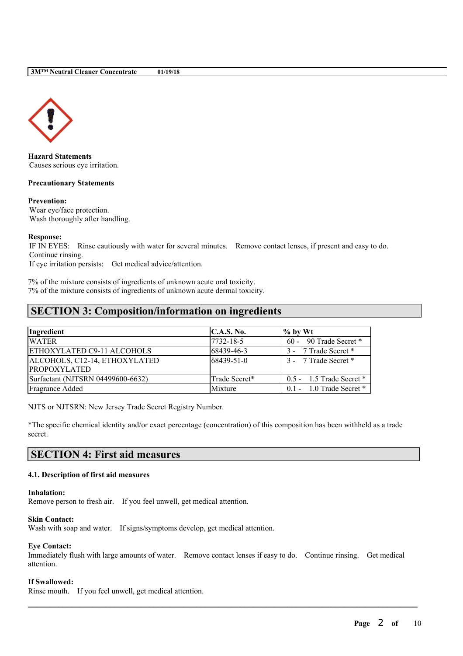

**Hazard Statements** Causes serious eye irritation.

### **Precautionary Statements**

### **Prevention:**

Wear eye/face protection. Wash thoroughly after handling.

### **Response:**

IF IN EYES: Rinse cautiously with water for several minutes. Remove contact lenses, if present and easy to do. Continue rinsing.

If eye irritation persists: Get medical advice/attention.

7% of the mixture consists of ingredients of unknown acute oral toxicity. 7% of the mixture consists of ingredients of unknown acute dermal toxicity.

## **SECTION 3: Composition/information on ingredients**

| Ingredient                        | C.A.S. No.    | $\frac{1}{2}$ by Wt          |
|-----------------------------------|---------------|------------------------------|
| <b>WATER</b>                      | 7732-18-5     | 60 - 90 Trade Secret *       |
| ETHOXYLATED C9-11 ALCOHOLS        | 68439-46-3    | 3 - 7 Trade Secret *         |
| ALCOHOLS, C12-14, ETHOXYLATED     | 68439-51-0    | 3 - 7 Trade Secret *         |
| <b>PROPOXYLATED</b>               |               |                              |
| Surfactant (NJTSRN 04499600-6632) | Trade Secret* | $0.5 - 1.5$ Trade Secret $*$ |
| Fragrance Added                   | Mixture       | $0.1 - 1.0$ Trade Secret $*$ |

NJTS or NJTSRN: New Jersey Trade Secret Registry Number.

\*The specific chemical identity and/or exact percentage (concentration) of this composition has been withheld as a trade secret.

## **SECTION 4: First aid measures**

## **4.1. Description of first aid measures**

#### **Inhalation:**

Remove person to fresh air. If you feel unwell, get medical attention.

## **Skin Contact:**

Wash with soap and water. If signs/symptoms develop, get medical attention.

#### **Eye Contact:**

Immediately flush with large amounts of water. Remove contact lenses if easy to do. Continue rinsing. Get medical attention.

 $\mathcal{L}_\mathcal{L} = \mathcal{L}_\mathcal{L} = \mathcal{L}_\mathcal{L} = \mathcal{L}_\mathcal{L} = \mathcal{L}_\mathcal{L} = \mathcal{L}_\mathcal{L} = \mathcal{L}_\mathcal{L} = \mathcal{L}_\mathcal{L} = \mathcal{L}_\mathcal{L} = \mathcal{L}_\mathcal{L} = \mathcal{L}_\mathcal{L} = \mathcal{L}_\mathcal{L} = \mathcal{L}_\mathcal{L} = \mathcal{L}_\mathcal{L} = \mathcal{L}_\mathcal{L} = \mathcal{L}_\mathcal{L} = \mathcal{L}_\mathcal{L}$ 

#### **If Swallowed:**

Rinse mouth. If you feel unwell, get medical attention.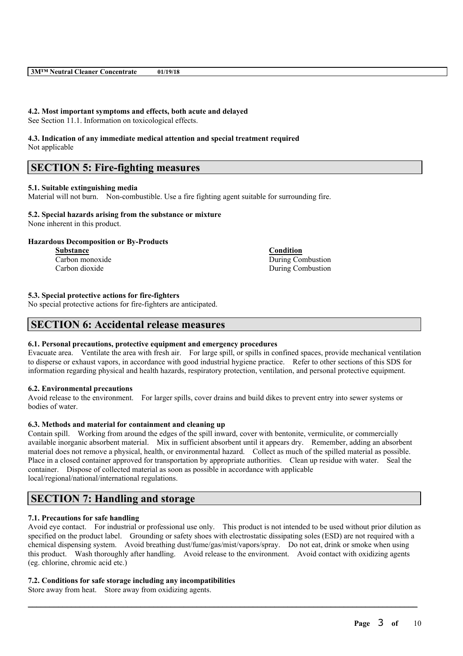### **4.2. Most important symptoms and effects, both acute and delayed**

See Section 11.1. Information on toxicological effects.

#### **4.3. Indication of any immediate medical attention and special treatment required** Not applicable

## **SECTION 5: Fire-fighting measures**

### **5.1. Suitable extinguishing media**

Material will not burn. Non-combustible. Use a fire fighting agent suitable for surrounding fire.

### **5.2. Special hazards arising from the substance or mixture**

None inherent in this product.

### **Hazardous Decomposition or By-Products**

**Substance Condition** Carbon monoxide During Combustion Carbon dioxide During Combustion

**5.3. Special protective actions for fire-fighters**

No special protective actions for fire-fighters are anticipated.

## **SECTION 6: Accidental release measures**

## **6.1. Personal precautions, protective equipment and emergency procedures**

Evacuate area. Ventilate the area with fresh air. For large spill, or spills in confined spaces, provide mechanical ventilation to disperse or exhaust vapors, in accordance with good industrial hygiene practice. Refer to other sections of this SDS for information regarding physical and health hazards, respiratory protection, ventilation, and personal protective equipment.

#### **6.2. Environmental precautions**

Avoid release to the environment. For larger spills, cover drains and build dikes to prevent entry into sewer systems or bodies of water.

## **6.3. Methods and material for containment and cleaning up**

Contain spill. Working from around the edges of the spill inward, cover with bentonite, vermiculite, or commercially available inorganic absorbent material. Mix in sufficient absorbent until it appears dry. Remember, adding an absorbent material does not remove a physical, health, or environmental hazard. Collect as much of the spilled material as possible. Place in a closed container approved for transportation by appropriate authorities. Clean up residue with water. Seal the container. Dispose of collected material as soon as possible in accordance with applicable local/regional/national/international regulations.

## **SECTION 7: Handling and storage**

## **7.1. Precautions for safe handling**

Avoid eye contact. For industrial or professional use only. This product is not intended to be used without prior dilution as specified on the product label. Grounding or safety shoes with electrostatic dissipating soles (ESD) are not required with a chemical dispensing system. Avoid breathing dust/fume/gas/mist/vapors/spray. Do not eat, drink or smoke when using this product. Wash thoroughly after handling. Avoid release to the environment. Avoid contact with oxidizing agents (eg. chlorine, chromic acid etc.)

 $\mathcal{L}_\mathcal{L} = \mathcal{L}_\mathcal{L} = \mathcal{L}_\mathcal{L} = \mathcal{L}_\mathcal{L} = \mathcal{L}_\mathcal{L} = \mathcal{L}_\mathcal{L} = \mathcal{L}_\mathcal{L} = \mathcal{L}_\mathcal{L} = \mathcal{L}_\mathcal{L} = \mathcal{L}_\mathcal{L} = \mathcal{L}_\mathcal{L} = \mathcal{L}_\mathcal{L} = \mathcal{L}_\mathcal{L} = \mathcal{L}_\mathcal{L} = \mathcal{L}_\mathcal{L} = \mathcal{L}_\mathcal{L} = \mathcal{L}_\mathcal{L}$ 

#### **7.2. Conditions for safe storage including any incompatibilities**

Store away from heat. Store away from oxidizing agents.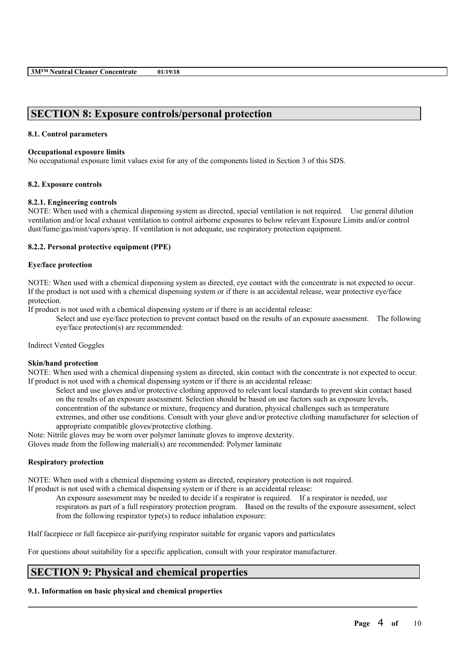## **SECTION 8: Exposure controls/personal protection**

## **8.1. Control parameters**

#### **Occupational exposure limits**

No occupational exposure limit values exist for any of the components listed in Section 3 of this SDS.

## **8.2. Exposure controls**

### **8.2.1. Engineering controls**

NOTE: When used with a chemical dispensing system as directed, special ventilation is not required. Use general dilution ventilation and/or local exhaust ventilation to control airborne exposures to below relevant Exposure Limits and/or control dust/fume/gas/mist/vapors/spray. If ventilation is not adequate, use respiratory protection equipment.

### **8.2.2. Personal protective equipment (PPE)**

### **Eye/face protection**

NOTE: When used with a chemical dispensing system as directed, eye contact with the concentrate is not expected to occur. If the product is not used with a chemical dispensing system or if there is an accidental release, wear protective eye/face protection.

If product is not used with a chemical dispensing system or if there is an accidental release:

Select and use eye/face protection to prevent contact based on the results of an exposure assessment. The following eye/face protection(s) are recommended:

Indirect Vented Goggles

#### **Skin/hand protection**

NOTE: When used with a chemical dispensing system as directed, skin contact with the concentrate is not expected to occur. If product is not used with a chemical dispensing system or if there is an accidental release:

Select and use gloves and/or protective clothing approved to relevant local standards to prevent skin contact based on the results of an exposure assessment. Selection should be based on use factors such as exposure levels, concentration of the substance or mixture, frequency and duration, physical challenges such as temperature extremes, and other use conditions. Consult with your glove and/or protective clothing manufacturer for selection of appropriate compatible gloves/protective clothing.

Note: Nitrile gloves may be worn over polymer laminate gloves to improve dexterity.

Gloves made from the following material(s) are recommended: Polymer laminate

#### **Respiratory protection**

NOTE: When used with a chemical dispensing system as directed, respiratory protection is not required. If product is not used with a chemical dispensing system or if there is an accidental release:

An exposure assessment may be needed to decide if a respirator is required. If a respirator is needed, use respirators as part of a full respiratory protection program. Based on the results of the exposure assessment, select from the following respirator type(s) to reduce inhalation exposure:

 $\mathcal{L}_\mathcal{L} = \mathcal{L}_\mathcal{L} = \mathcal{L}_\mathcal{L} = \mathcal{L}_\mathcal{L} = \mathcal{L}_\mathcal{L} = \mathcal{L}_\mathcal{L} = \mathcal{L}_\mathcal{L} = \mathcal{L}_\mathcal{L} = \mathcal{L}_\mathcal{L} = \mathcal{L}_\mathcal{L} = \mathcal{L}_\mathcal{L} = \mathcal{L}_\mathcal{L} = \mathcal{L}_\mathcal{L} = \mathcal{L}_\mathcal{L} = \mathcal{L}_\mathcal{L} = \mathcal{L}_\mathcal{L} = \mathcal{L}_\mathcal{L}$ 

Half facepiece or full facepiece air-purifying respirator suitable for organic vapors and particulates

For questions about suitability for a specific application, consult with your respirator manufacturer.

## **SECTION 9: Physical and chemical properties**

## **9.1. Information on basic physical and chemical properties**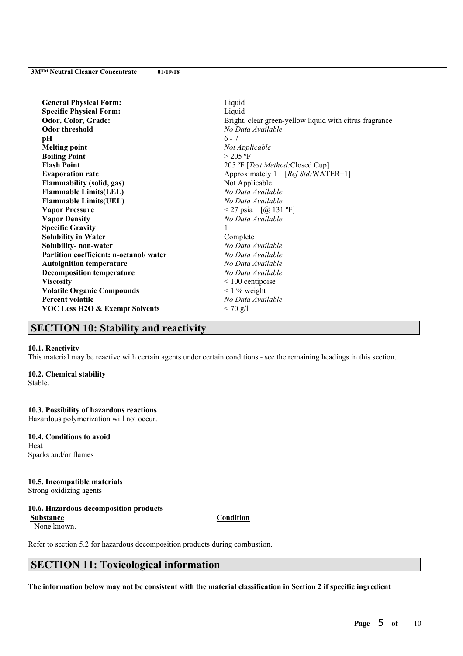| <b>General Physical Form:</b>             | Liquid                                                  |
|-------------------------------------------|---------------------------------------------------------|
| <b>Specific Physical Form:</b>            | Liquid                                                  |
| Odor, Color, Grade:                       | Bright, clear green-yellow liquid with citrus fragrance |
| <b>Odor threshold</b>                     | No Data Available                                       |
| pН                                        | $6 - 7$                                                 |
| <b>Melting point</b>                      | Not Applicable                                          |
| <b>Boiling Point</b>                      | $> 205$ °F                                              |
| <b>Flash Point</b>                        | 205 °F [Test Method: Closed Cup]                        |
| <b>Evaporation rate</b>                   | Approximately 1 [Ref Std:WATER=1]                       |
| <b>Flammability (solid, gas)</b>          | Not Applicable                                          |
| <b>Flammable Limits(LEL)</b>              | No Data Available                                       |
| <b>Flammable Limits(UEL)</b>              | No Data Available                                       |
| <b>Vapor Pressure</b>                     | <27 psia $[@ 131 °F]$                                   |
| <b>Vapor Density</b>                      | No Data Available                                       |
| <b>Specific Gravity</b>                   |                                                         |
| <b>Solubility in Water</b>                | Complete                                                |
| Solubility- non-water                     | No Data Available                                       |
| Partition coefficient: n-octanol/water    | No Data Available                                       |
| <b>Autoignition temperature</b>           | No Data Available                                       |
| <b>Decomposition temperature</b>          | No Data Available                                       |
| <b>Viscosity</b>                          | $\leq 100$ centipoise                                   |
| <b>Volatile Organic Compounds</b>         | $\leq$ 1 % weight                                       |
| <b>Percent volatile</b>                   | No Data Available                                       |
| <b>VOC Less H2O &amp; Exempt Solvents</b> | $< 70$ g/l                                              |
|                                           |                                                         |

## **SECTION 10: Stability and reactivity**

## **10.1. Reactivity**

This material may be reactive with certain agents under certain conditions - see the remaining headings in this section.

### **10.2. Chemical stability**

Stable.

### **10.3. Possibility of hazardous reactions**

Hazardous polymerization will not occur.

#### **10.4. Conditions to avoid** Heat

Sparks and/or flames

## **10.5. Incompatible materials**

Strong oxidizing agents

## **10.6. Hazardous decomposition products**

**Substance Condition** None known.

Refer to section 5.2 for hazardous decomposition products during combustion.

# **SECTION 11: Toxicological information**

The information below may not be consistent with the material classification in Section 2 if specific ingredient

 $\mathcal{L}_\mathcal{L} = \mathcal{L}_\mathcal{L} = \mathcal{L}_\mathcal{L} = \mathcal{L}_\mathcal{L} = \mathcal{L}_\mathcal{L} = \mathcal{L}_\mathcal{L} = \mathcal{L}_\mathcal{L} = \mathcal{L}_\mathcal{L} = \mathcal{L}_\mathcal{L} = \mathcal{L}_\mathcal{L} = \mathcal{L}_\mathcal{L} = \mathcal{L}_\mathcal{L} = \mathcal{L}_\mathcal{L} = \mathcal{L}_\mathcal{L} = \mathcal{L}_\mathcal{L} = \mathcal{L}_\mathcal{L} = \mathcal{L}_\mathcal{L}$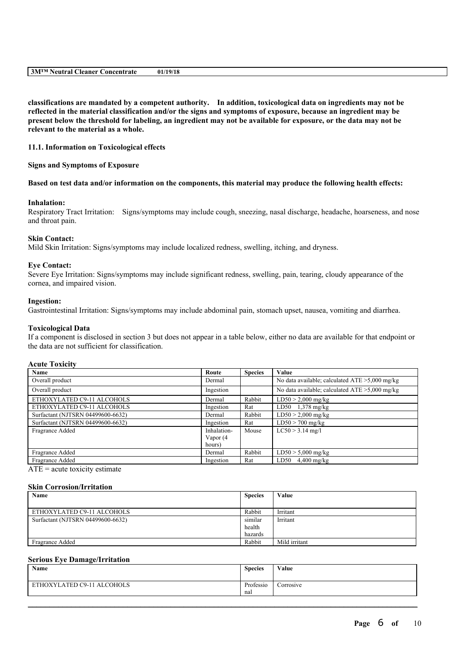|  | 01/19/18 | 3M™ Neutral Cleaner Concentrate |
|--|----------|---------------------------------|
|--|----------|---------------------------------|

**classifications are mandated by a competent authority. In addition, toxicological data on ingredients may not be** reflected in the material classification and/or the signs and symptoms of exposure, because an ingredient may be present below the threshold for labeling, an ingredient may not be available for exposure, or the data may not be **relevant to the material as a whole.**

### **11.1. Information on Toxicological effects**

**Signs and Symptoms of Exposure**

Based on test data and/or information on the components, this material may produce the following health effects:

#### **Inhalation:**

Respiratory Tract Irritation: Signs/symptoms may include cough, sneezing, nasal discharge, headache, hoarseness, and nose and throat pain.

#### **Skin Contact:**

Mild Skin Irritation: Signs/symptoms may include localized redness, swelling, itching, and dryness.

#### **Eye Contact:**

Severe Eye Irritation: Signs/symptoms may include significant redness, swelling, pain, tearing, cloudy appearance of the cornea, and impaired vision.

#### **Ingestion:**

Gastrointestinal Irritation: Signs/symptoms may include abdominal pain, stomach upset, nausea, vomiting and diarrhea.

#### **Toxicological Data**

If a component is disclosed in section 3 but does not appear in a table below, either no data are available for that endpoint or the data are not sufficient for classification.

#### **Acute Toxicity**

| Name                              | Route       | <b>Species</b> | Value                                             |
|-----------------------------------|-------------|----------------|---------------------------------------------------|
| Overall product                   | Dermal      |                | No data available; calculated $ATE > 5,000$ mg/kg |
| Overall product                   | Ingestion   |                | No data available; calculated $ATE > 5,000$ mg/kg |
| ETHOXYLATED C9-11 ALCOHOLS        | Dermal      | Rabbit         | $LD50 > 2,000$ mg/kg                              |
| ETHOXYLATED C9-11 ALCOHOLS        | Ingestion   | Rat            | LD50 $1,378$ mg/kg                                |
| Surfactant (NJTSRN 04499600-6632) | Dermal      | Rabbit         | $LD50 > 2,000$ mg/kg                              |
| Surfactant (NJTSRN 04499600-6632) | Ingestion   | Rat            | $LD50 > 700$ mg/kg                                |
| Fragrance Added                   | Inhalation- | Mouse          | $LC50 > 3.14$ mg/l                                |
|                                   | Vapor (4    |                |                                                   |
|                                   | hours)      |                |                                                   |
| Fragrance Added                   | Dermal      | Rabbit         | $LD50 > 5,000$ mg/kg                              |
| Fragrance Added                   | Ingestion   | Rat            | LD50 $4,400$ mg/kg                                |

 $ATE = acute$  toxicity estimate

#### **Skin Corrosion/Irritation**

| Name                              | <b>Species</b> | Value         |
|-----------------------------------|----------------|---------------|
|                                   |                |               |
| ETHOXYLATED C9-11 ALCOHOLS        | Rabbit         | Irritant      |
| Surfactant (NJTSRN 04499600-6632) | similar        | Irritant      |
|                                   | health         |               |
|                                   | hazards        |               |
| Fragrance Added                   | Rabbit         | Mild irritant |

#### **Serious Eye Damage/Irritation**

| Name                       | <b>Species</b>   | Value     |
|----------------------------|------------------|-----------|
| ETHOXYLATED C9-11 ALCOHOLS | Professio<br>nal | Corrosive |

 $\mathcal{L}_\mathcal{L} = \mathcal{L}_\mathcal{L} = \mathcal{L}_\mathcal{L} = \mathcal{L}_\mathcal{L} = \mathcal{L}_\mathcal{L} = \mathcal{L}_\mathcal{L} = \mathcal{L}_\mathcal{L} = \mathcal{L}_\mathcal{L} = \mathcal{L}_\mathcal{L} = \mathcal{L}_\mathcal{L} = \mathcal{L}_\mathcal{L} = \mathcal{L}_\mathcal{L} = \mathcal{L}_\mathcal{L} = \mathcal{L}_\mathcal{L} = \mathcal{L}_\mathcal{L} = \mathcal{L}_\mathcal{L} = \mathcal{L}_\mathcal{L}$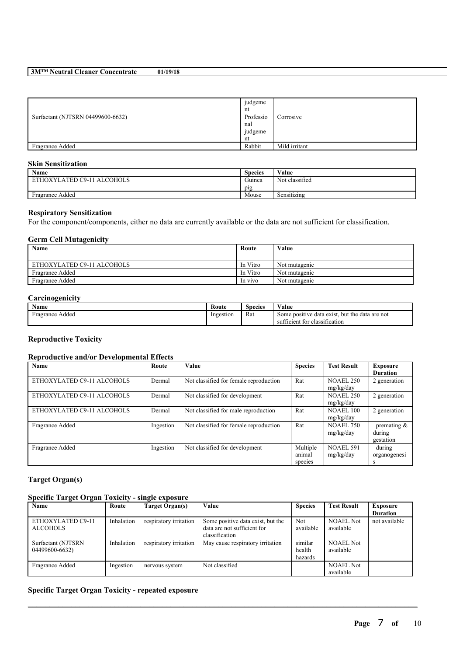### **3M™ Neutral Cleaner Concentrate 01/19/18**

|                                   | judgeme   |               |
|-----------------------------------|-----------|---------------|
|                                   | nt        |               |
| Surfactant (NJTSRN 04499600-6632) | Professio | Corrosive     |
|                                   | nal       |               |
|                                   | judgeme   |               |
|                                   | nt        |               |
| Fragrance Added                   | Rabbit    | Mild irritant |

## **Skin Sensitization**

| $\rightarrow$<br>Name                            | <b>Species</b>   | Value            |
|--------------------------------------------------|------------------|------------------|
| $C9-11$<br>ATED ا<br><b>ALCOHOLS</b><br>ETHOXYLA | $\sim$<br>Guinea | Not classified   |
|                                                  | pig              |                  |
| Fragrance Added                                  | Mouse            | .<br>Sensitizing |

## **Respiratory Sensitization**

For the component/components, either no data are currently available or the data are not sufficient for classification.

## **Germ Cell Mutagenicity**

| Name                       | Route    | Value         |
|----------------------------|----------|---------------|
|                            |          |               |
| ETHOXYLATED C9-11 ALCOHOLS | In Vitro | Not mutagenic |
| Fragrance Added            | In Vitro | Not mutagenic |
| <b>Fragrance Added</b>     | In vivo  | Not mutagenic |

## **Carcinogenicity**

| $\mathbf{v}$<br>Name | Route     | $\sim$<br>Species | V alue                                                                                    |
|----------------------|-----------|-------------------|-------------------------------------------------------------------------------------------|
| Fragrance Added      | Ingestion | Rat               | . but the data are not<br>Some positive data exist.<br>ifficient for classification<br>su |

## **Reproductive Toxicity**

## **Reproductive and/or Developmental Effects**

| Name                       | Route     | <b>Value</b>                           | <b>Species</b>                | <b>Test Result</b>            | Exposure<br><b>Duration</b>           |
|----------------------------|-----------|----------------------------------------|-------------------------------|-------------------------------|---------------------------------------|
| ETHOXYLATED C9-11 ALCOHOLS | Dermal    | Not classified for female reproduction | Rat                           | <b>NOAEL 250</b><br>mg/kg/day | 2 generation                          |
| ETHOXYLATED C9-11 ALCOHOLS | Dermal    | Not classified for development         | Rat                           | <b>NOAEL 250</b><br>mg/kg/day | 2 generation                          |
| ETHOXYLATED C9-11 ALCOHOLS | Dermal    | Not classified for male reproduction   | Rat                           | <b>NOAEL 100</b><br>mg/kg/day | 2 generation                          |
| Fragrance Added            | Ingestion | Not classified for female reproduction | Rat                           | <b>NOAEL 750</b><br>mg/kg/day | premating $\&$<br>during<br>gestation |
| Fragrance Added            | Ingestion | Not classified for development         | Multiple<br>animal<br>species | <b>NOAEL 591</b><br>mg/kg/day | during<br>organogenesi<br>s           |

## **Target Organ(s)**

### **Specific Target Organ Toxicity - single exposure**

| $\sim$<br>$\overline{\phantom{a}}$<br>Name | Route      | $\overline{\phantom{a}}$<br>Target Organ(s) | <b>Value</b>                                                                       | <b>Species</b>               | <b>Test Result</b>            | <b>Exposure</b><br><b>Duration</b> |
|--------------------------------------------|------------|---------------------------------------------|------------------------------------------------------------------------------------|------------------------------|-------------------------------|------------------------------------|
| ETHOXYLATED C9-11<br><b>ALCOHOLS</b>       | Inhalation | respiratory irritation                      | Some positive data exist, but the<br>data are not sufficient for<br>classification | <b>Not</b><br>available      | <b>NOAEL Not</b><br>available | not available                      |
| Surfactant (NJTSRN<br>04499600-6632)       | Inhalation | respiratory irritation                      | May cause respiratory irritation                                                   | similar<br>health<br>hazards | <b>NOAEL Not</b><br>available |                                    |
| Fragrance Added                            | Ingestion  | nervous system                              | Not classified                                                                     |                              | <b>NOAEL Not</b><br>available |                                    |

 $\mathcal{L}_\mathcal{L} = \mathcal{L}_\mathcal{L} = \mathcal{L}_\mathcal{L} = \mathcal{L}_\mathcal{L} = \mathcal{L}_\mathcal{L} = \mathcal{L}_\mathcal{L} = \mathcal{L}_\mathcal{L} = \mathcal{L}_\mathcal{L} = \mathcal{L}_\mathcal{L} = \mathcal{L}_\mathcal{L} = \mathcal{L}_\mathcal{L} = \mathcal{L}_\mathcal{L} = \mathcal{L}_\mathcal{L} = \mathcal{L}_\mathcal{L} = \mathcal{L}_\mathcal{L} = \mathcal{L}_\mathcal{L} = \mathcal{L}_\mathcal{L}$ 

## **Specific Target Organ Toxicity - repeated exposure**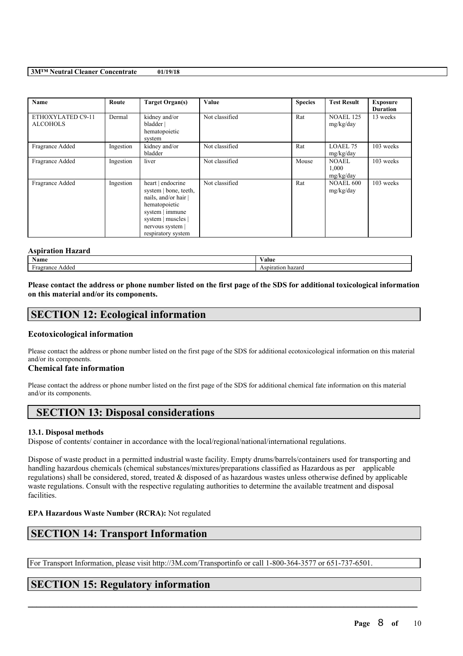#### **3M™ Neutral Cleaner Concentrate 01/19/18**

| Name                                 | Route     | Target Organ(s)                                                                                                                                                    | Value          | <b>Species</b> | <b>Test Result</b>            | <b>Exposure</b>             |
|--------------------------------------|-----------|--------------------------------------------------------------------------------------------------------------------------------------------------------------------|----------------|----------------|-------------------------------|-----------------------------|
| ETHOXYLATED C9-11<br><b>ALCOHOLS</b> | Dermal    | kidney and/or<br>bladder  <br>hematopoietic<br>system                                                                                                              | Not classified | Rat            | <b>NOAEL 125</b><br>mg/kg/day | <b>Duration</b><br>13 weeks |
| Fragrance Added                      | Ingestion | kidney and/or<br>bladder                                                                                                                                           | Not classified | Rat            | LOAEL 75<br>mg/kg/day         | 103 weeks                   |
| Fragrance Added                      | Ingestion | liver                                                                                                                                                              | Not classified | Mouse          | NOAEL<br>1,000<br>mg/kg/day   | 103 weeks                   |
| Fragrance Added                      | Ingestion | heart   endocrine<br>system   bone, teeth,<br>nails, and/or hair<br>hematopoietic<br>system   immune<br>system   muscles  <br>nervous system<br>respiratory system | Not classified | Rat            | NOAEL 600<br>mg/kg/day        | 103 weeks                   |

#### **Aspiration Hazard**

| . — п<br>$\sim$ when<br>Name | alue       |
|------------------------------|------------|
| ance<br>agec                 | . 147.41 V |

Please contact the address or phone number listed on the first page of the SDS for additional toxicological information **on this material and/or its components.**

## **SECTION 12: Ecological information**

## **Ecotoxicological information**

Please contact the address or phone number listed on the first page of the SDS for additional ecotoxicological information on this material and/or its components.

## **Chemical fate information**

Please contact the address or phone number listed on the first page of the SDS for additional chemical fate information on this material and/or its components.

## **SECTION 13: Disposal considerations**

## **13.1. Disposal methods**

Dispose of contents/ container in accordance with the local/regional/national/international regulations.

Dispose of waste product in a permitted industrial waste facility. Empty drums/barrels/containers used for transporting and handling hazardous chemicals (chemical substances/mixtures/preparations classified as Hazardous as per applicable regulations) shall be considered, stored, treated & disposed of as hazardous wastes unless otherwise defined by applicable waste regulations. Consult with the respective regulating authorities to determine the available treatment and disposal facilities.

 $\mathcal{L}_\mathcal{L} = \mathcal{L}_\mathcal{L} = \mathcal{L}_\mathcal{L} = \mathcal{L}_\mathcal{L} = \mathcal{L}_\mathcal{L} = \mathcal{L}_\mathcal{L} = \mathcal{L}_\mathcal{L} = \mathcal{L}_\mathcal{L} = \mathcal{L}_\mathcal{L} = \mathcal{L}_\mathcal{L} = \mathcal{L}_\mathcal{L} = \mathcal{L}_\mathcal{L} = \mathcal{L}_\mathcal{L} = \mathcal{L}_\mathcal{L} = \mathcal{L}_\mathcal{L} = \mathcal{L}_\mathcal{L} = \mathcal{L}_\mathcal{L}$ 

## **EPA Hazardous Waste Number (RCRA):** Not regulated

## **SECTION 14: Transport Information**

For Transport Information, please visit http://3M.com/Transportinfo or call 1-800-364-3577 or 651-737-6501.

## **SECTION 15: Regulatory information**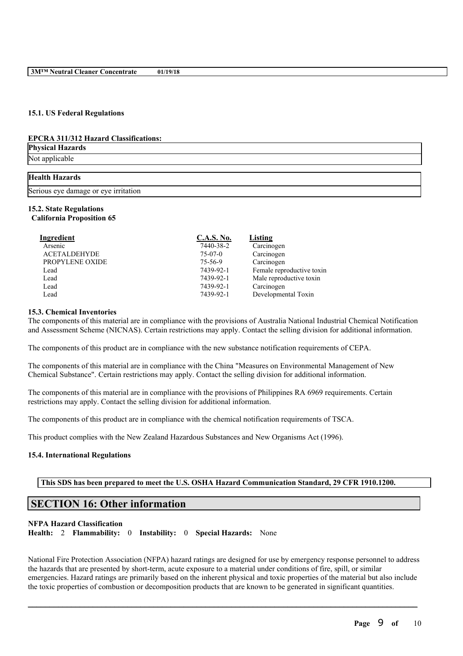#### **15.1. US Federal Regulations**

#### **EPCRA 311/312 Hazard Classifications:**

**Physical Hazards** Not applicable

# **Health Hazards**

Serious eye damage or eye irritation

#### **15.2. State Regulations California Proposition 65**

| Ingredient          | <b>C.A.S. No.</b> | Listing                   |
|---------------------|-------------------|---------------------------|
| Arsenic             | 7440-38-2         | Carcinogen                |
| <b>ACETALDEHYDE</b> | $75-07-0$         | Carcinogen                |
| PROPYLENE OXIDE     | 75-56-9           | Carcinogen                |
| Lead                | 7439-92-1         | Female reproductive toxin |
| Lead                | 7439-92-1         | Male reproductive toxin   |
| Lead                | 7439-92-1         | Carcinogen                |
| Lead                | 7439-92-1         | Developmental Toxin       |

#### **15.3. Chemical Inventories**

The components of this material are in compliance with the provisions of Australia National Industrial Chemical Notification and Assessment Scheme (NICNAS). Certain restrictions may apply. Contact the selling division for additional information.

The components of this product are in compliance with the new substance notification requirements of CEPA.

The components of this material are in compliance with the China "Measures on Environmental Management of New Chemical Substance". Certain restrictions may apply. Contact the selling division for additional information.

The components of this material are in compliance with the provisions of Philippines RA 6969 requirements. Certain restrictions may apply. Contact the selling division for additional information.

The components of this product are in compliance with the chemical notification requirements of TSCA.

This product complies with the New Zealand Hazardous Substances and New Organisms Act (1996).

#### **15.4. International Regulations**

### **This SDS has been prepared to meet the U.S. OSHA Hazard Communication Standard, 29 CFR 1910.1200.**

## **SECTION 16: Other information**

#### **NFPA Hazard Classification**

**Health:** 2 **Flammability:** 0 **Instability:** 0 **Special Hazards:** None

National Fire Protection Association (NFPA) hazard ratings are designed for use by emergency response personnel to address the hazards that are presented by short-term, acute exposure to a material under conditions of fire, spill, or similar emergencies. Hazard ratings are primarily based on the inherent physical and toxic properties of the material but also include the toxic properties of combustion or decomposition products that are known to be generated in significant quantities.

 $\mathcal{L}_\mathcal{L} = \mathcal{L}_\mathcal{L} = \mathcal{L}_\mathcal{L} = \mathcal{L}_\mathcal{L} = \mathcal{L}_\mathcal{L} = \mathcal{L}_\mathcal{L} = \mathcal{L}_\mathcal{L} = \mathcal{L}_\mathcal{L} = \mathcal{L}_\mathcal{L} = \mathcal{L}_\mathcal{L} = \mathcal{L}_\mathcal{L} = \mathcal{L}_\mathcal{L} = \mathcal{L}_\mathcal{L} = \mathcal{L}_\mathcal{L} = \mathcal{L}_\mathcal{L} = \mathcal{L}_\mathcal{L} = \mathcal{L}_\mathcal{L}$